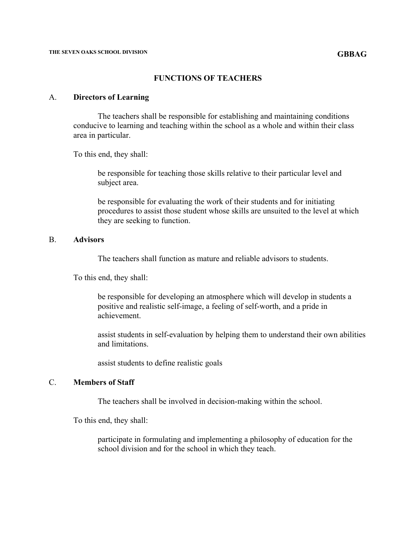#### **FUNCTIONS OF TEACHERS**

#### A. **Directors of Learning**

The teachers shall be responsible for establishing and maintaining conditions conducive to learning and teaching within the school as a whole and within their class area in particular.

To this end, they shall:

be responsible for teaching those skills relative to their particular level and subject area.

be responsible for evaluating the work of their students and for initiating procedures to assist those student whose skills are unsuited to the level at which they are seeking to function.

## B. **Advisors**

The teachers shall function as mature and reliable advisors to students.

To this end, they shall:

be responsible for developing an atmosphere which will develop in students a positive and realistic self-image, a feeling of self-worth, and a pride in achievement.

assist students in self-evaluation by helping them to understand their own abilities and limitations.

assist students to define realistic goals

# C. **Members of Staff**

The teachers shall be involved in decision-making within the school.

To this end, they shall:

participate in formulating and implementing a philosophy of education for the school division and for the school in which they teach.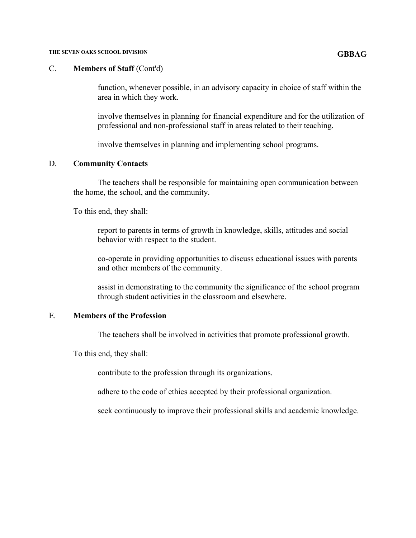#### **THE SEVEN OAKS SCHOOL DIVISION GBBAG**

#### C. **Members of Staff** (Cont'd)

function, whenever possible, in an advisory capacity in choice of staff within the area in which they work.

involve themselves in planning for financial expenditure and for the utilization of professional and non-professional staff in areas related to their teaching.

involve themselves in planning and implementing school programs.

## D. **Community Contacts**

The teachers shall be responsible for maintaining open communication between the home, the school, and the community.

To this end, they shall:

report to parents in terms of growth in knowledge, skills, attitudes and social behavior with respect to the student.

co-operate in providing opportunities to discuss educational issues with parents and other members of the community.

assist in demonstrating to the community the significance of the school program through student activities in the classroom and elsewhere.

# E. **Members of the Profession**

The teachers shall be involved in activities that promote professional growth.

To this end, they shall:

contribute to the profession through its organizations.

adhere to the code of ethics accepted by their professional organization.

seek continuously to improve their professional skills and academic knowledge.